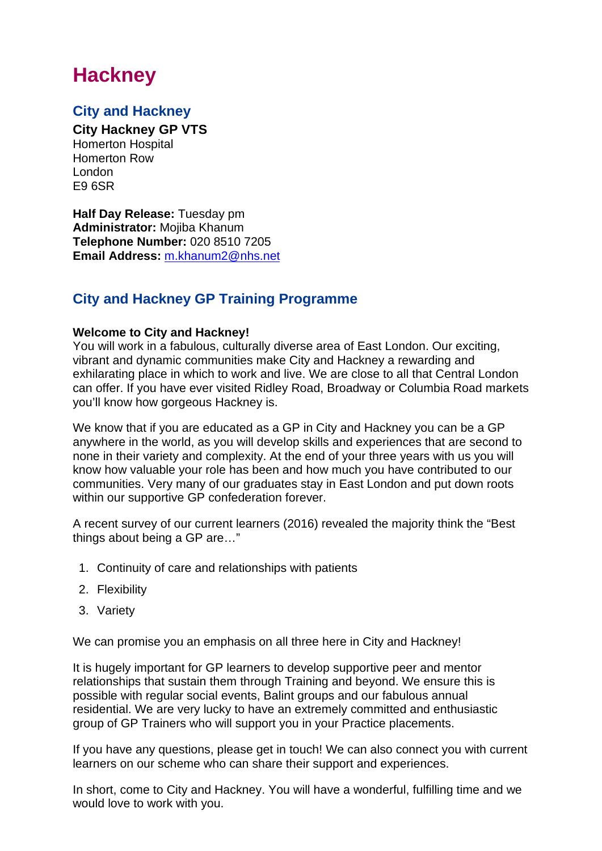# **Hackney**

### **City and Hackney**

**City Hackney GP VTS**

Homerton Hospital Homerton Row London E9 6SR

**Half Day Release:** Tuesday pm **Administrator:** Mojiba Khanum **Telephone Number:** 020 8510 7205 **Email Address:** [m.khanum2@nhs.net](mailto:m.khanum2@nhs.net)

### **City and Hackney GP Training Programme**

#### **Welcome to City and Hackney!**

You will work in a fabulous, culturally diverse area of East London. Our exciting, vibrant and dynamic communities make City and Hackney a rewarding and exhilarating place in which to work and live. We are close to all that Central London can offer. If you have ever visited Ridley Road, Broadway or Columbia Road markets you'll know how gorgeous Hackney is.

We know that if you are educated as a GP in City and Hackney you can be a GP anywhere in the world, as you will develop skills and experiences that are second to none in their variety and complexity. At the end of your three years with us you will know how valuable your role has been and how much you have contributed to our communities. Very many of our graduates stay in East London and put down roots within our supportive GP confederation forever.

A recent survey of our current learners (2016) revealed the majority think the "Best things about being a GP are…"

- 1. Continuity of care and relationships with patients
- 2. Flexibility
- 3. Variety

We can promise you an emphasis on all three here in City and Hackney!

It is hugely important for GP learners to develop supportive peer and mentor relationships that sustain them through Training and beyond. We ensure this is possible with regular social events, Balint groups and our fabulous annual residential. We are very lucky to have an extremely committed and enthusiastic group of GP Trainers who will support you in your Practice placements.

If you have any questions, please get in touch! We can also connect you with current learners on our scheme who can share their support and experiences.

In short, come to City and Hackney. You will have a wonderful, fulfilling time and we would love to work with you.